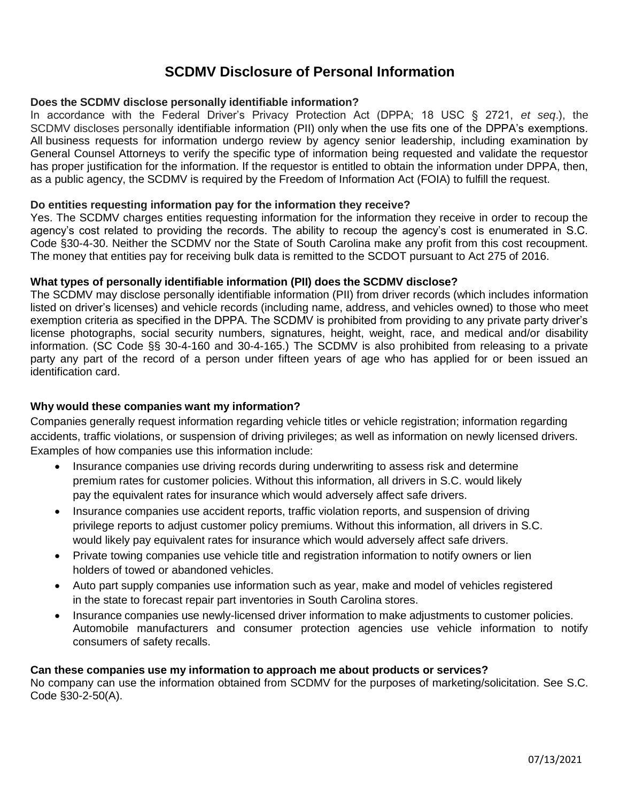# **SCDMV Disclosure of Personal Information**

# **Does the SCDMV disclose personally identifiable information?**

In accordance with the Federal Driver's Privacy Protection Act (DPPA; 18 USC § 2721, *et seq*.), the SCDMV discloses personally identifiable information (PII) only when the use fits one of the DPPA's exemptions. All business requests for information undergo review by agency senior leadership, including examination by General Counsel Attorneys to verify the specific type of information being requested and validate the requestor has proper justification for the information. If the requestor is entitled to obtain the information under DPPA, then, as a public agency, the SCDMV is required by the Freedom of Information Act (FOIA) to fulfill the request.

#### **Do entities requesting information pay for the information they receive?**

Yes. The SCDMV charges entities requesting information for the information they receive in order to recoup the agency's cost related to providing the records. The ability to recoup the agency's cost is enumerated in S.C. Code §30-4-30. Neither the SCDMV nor the State of South Carolina make any profit from this cost recoupment. The money that entities pay for receiving bulk data is remitted to the SCDOT pursuant to Act 275 of 2016.

## **What types of personally identifiable information (PII) does the SCDMV disclose?**

The SCDMV may disclose personally identifiable information (PII) from driver records (which includes information listed on driver's licenses) and vehicle records (including name, address, and vehicles owned) to those who meet exemption criteria as specified in the DPPA. The SCDMV is prohibited from providing to any private party driver's license photographs, social security numbers, signatures, height, weight, race, and medical and/or disability information. (SC Code §§ 30-4-160 and 30-4-165.) The SCDMV is also prohibited from releasing to a private party any part of the record of a person under fifteen years of age who has applied for or been issued an identification card.

# **Why would these companies want my information?**

Companies generally request information regarding vehicle titles or vehicle registration; information regarding accidents, traffic violations, or suspension of driving privileges; as well as information on newly licensed drivers. Examples of how companies use this information include:

- Insurance companies use driving records during underwriting to assess risk and determine premium rates for customer policies. Without this information, all drivers in S.C. would likely pay the equivalent rates for insurance which would adversely affect safe drivers.
- Insurance companies use accident reports, traffic violation reports, and suspension of driving privilege reports to adjust customer policy premiums. Without this information, all drivers in S.C. would likely pay equivalent rates for insurance which would adversely affect safe drivers.
- Private towing companies use vehicle title and registration information to notify owners or lien holders of towed or abandoned vehicles.
- Auto part supply companies use information such as year, make and model of vehicles registered in the state to forecast repair part inventories in South Carolina stores.
- Insurance companies use newly-licensed driver information to make adjustments to customer policies. Automobile manufacturers and consumer protection agencies use vehicle information to notify consumers of safety recalls.

#### **Can these companies use my information to approach me about products or services?**

No company can use the information obtained from SCDMV for the purposes of marketing/solicitation. See S.C. Code §30-2-50(A).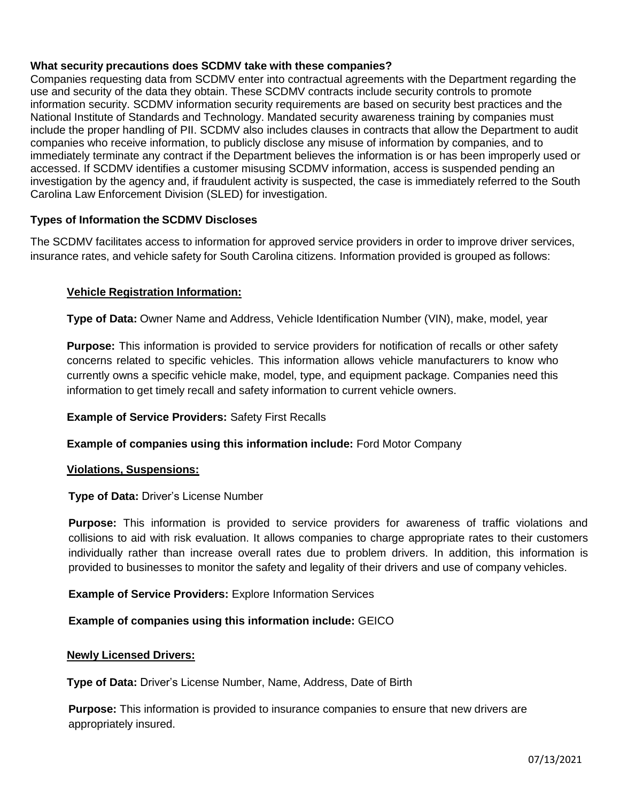## **What security precautions does SCDMV take with these companies?**

Companies requesting data from SCDMV enter into contractual agreements with the Department regarding the use and security of the data they obtain. These SCDMV contracts include security controls to promote information security. SCDMV information security requirements are based on security best practices and the National Institute of Standards and Technology. Mandated security awareness training by companies must include the proper handling of PII. SCDMV also includes clauses in contracts that allow the Department to audit companies who receive information, to publicly disclose any misuse of information by companies, and to immediately terminate any contract if the Department believes the information is or has been improperly used or accessed. If SCDMV identifies a customer misusing SCDMV information, access is suspended pending an investigation by the agency and, if fraudulent activity is suspected, the case is immediately referred to the South Carolina Law Enforcement Division (SLED) for investigation.

# **Types of Information the SCDMV Discloses**

The SCDMV facilitates access to information for approved service providers in order to improve driver services, insurance rates, and vehicle safety for South Carolina citizens. Information provided is grouped as follows:

## **Vehicle Registration Information:**

**Type of Data:** Owner Name and Address, Vehicle Identification Number (VIN), make, model, year

**Purpose:** This information is provided to service providers for notification of recalls or other safety concerns related to specific vehicles. This information allows vehicle manufacturers to know who currently owns a specific vehicle make, model, type, and equipment package. Companies need this information to get timely recall and safety information to current vehicle owners.

#### **Example of Service Providers:** Safety First Recalls

**Example of companies using this information include:** Ford Motor Company

#### **Violations, Suspensions:**

#### **Type of Data:** Driver's License Number

**Purpose:** This information is provided to service providers for awareness of traffic violations and collisions to aid with risk evaluation. It allows companies to charge appropriate rates to their customers individually rather than increase overall rates due to problem drivers. In addition, this information is provided to businesses to monitor the safety and legality of their drivers and use of company vehicles.

#### **Example of Service Providers:** Explore Information Services

#### **Example of companies using this information include:** GEICO

#### **Newly Licensed Drivers:**

**Type of Data:** Driver's License Number, Name, Address, Date of Birth

**Purpose:** This information is provided to insurance companies to ensure that new drivers are appropriately insured.